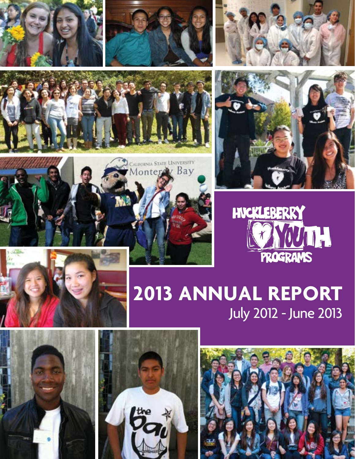















## **2013 Annual Report** July 2012 - June 2013





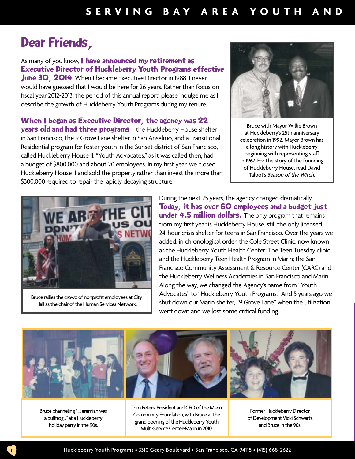## Dear Friends,

As many of you know, I have announced my retirement as Executive Director of Huckleberry Youth Programs effective June 30, 2014. When I became Executive Director in 1988, I never would have guessed that I would be here for 26 years. Rather than focus on fiscal year 2012-2013, the period of this annual report, please indulge me as I

describe the growth of Huckleberry Youth Programs during my tenure.

When I began as Executive Director, the agency was 22 years old and had three programs – the Huckleberry House shelter in San Francisco, the 9 Grove Lane shelter in San Anselmo, and a Transitional Residential program for foster youth in the Sunset district of San Francisco, called Huckleberry House II. "Youth Advocates," as it was called then, had a budget of \$800,000 and about 20 employees. In my first year, we closed Huckleberry House II and sold the property rather than invest the more than \$300,000 required to repair the rapidly decaying structure.



Bruce with Mayor Willie Brown at Huckleberry's 25th anniversary celebration in 1992. Mayor Brown has a long history with Huckleberry beginning with representing staff in 1967. For the story of the founding of Huckleberry House, read David Talbot's Season of the Witch.



Bruce rallies the crowd of nonprofit employees at City Hall as the chair of the Human Services Network.

During the next 25 years, the agency changed dramatically. Today, it has over 60 employees and a budget just under 4.5 million dollars. The only program that remains from my first year is Huckleberry House, still the only licensed, 24-hour crisis shelter for teens in San Francisco. Over the years we added, in chronological order, the Cole Street Clinic, now known as the Huckleberry Youth Health Center; The Teen Tuesday clinic and the Huckleberry Teen Health Program in Marin; the San Francisco Community Assessment & Resource Center (CARC) and the Huckleberry Wellness Academies in San Francisco and Marin. Along the way, we changed the Agency's name from "Youth Advocates" to "Huckleberry Youth Programs." And 5 years ago we shut down our Marin shelter, "9 Grove Lane" when the utilization went down and we lost some critical funding.



Bruce channeling "...Jeremiah was a bullfrog..." at a Huckleberry holiday party in the 90s.

Tom Peters, President and CEO of the Marin Community Foundation, with Bruce at the grand opening of the Huckleberry Youth Multi-Service Center-Marin in 2010.

Former Huckleberry Director of Development Vicki Schwartz and Bruce in the 90s.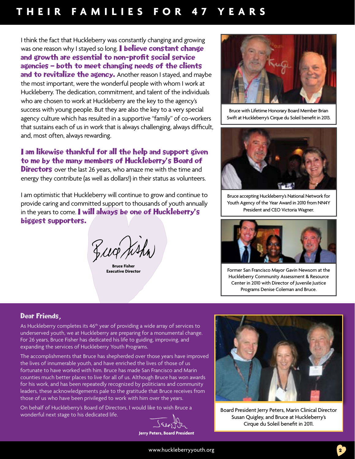### **thei r fa milie s f o r 47 ye ars**

I think the fact that Huckleberry was constantly changing and growing was one reason why I stayed so long. **I believe constant change** and growth are essential to non-profit social service agencies – both to meet changing needs of the clients and to revitalize the agency. Another reason I stayed, and maybe the most important, were the wonderful people with whom I work at Huckleberry. The dedication, commitment, and talent of the individuals who are chosen to work at Huckleberry are the key to the agency's success with young people. But they are also the key to a very special agency culture which has resulted in a supportive "family" of co-workers that sustains each of us in work that is always challenging, always difficult, and, most often, always rewarding.

#### I am likewise thankful for all the help and support given to me by the many members of Huckleberry's Board of

**Directors** over the last 26 years, who amaze me with the time and energy they contribute (as well as dollars!) in their status as volunteers.

I am optimistic that Huckleberry will continue to grow and continue to provide caring and committed support to thousands of youth annually in the years to come. I will always be one of Huckleberry's biggest supporters.

Lug hsh

**Bruce Fisher<br>Executive Director** 



Bruce with Lifetime Honorary Board Member Brian Swift at Huckleberry's Cirque du Soleil benefit in 2013.



Bruce accepting Huckleberry's National Network for Youth Agency of the Year Award in 2010 from NN4Y President and CEO Victoria Wagner.



Former San Francisco Mayor Gavin Newsom at the Huckleberry Community Assessment & Resource Center in 2010 with Director of Juvenile Justice Programs Denise Coleman and Bruce.

#### Dear Friends,

As Huckleberry completes its 46<sup>th</sup> year of providing a wide array of services to underserved youth, we at Huckleberry are preparing for a monumental change. For 26 years, Bruce Fisher has dedicated his life to guiding, improving, and expanding the services of Huckleberry Youth Programs.

The accomplishments that Bruce has shepherded over those years have improved the lives of innumerable youth, and have enriched the lives of those of us fortunate to have worked with him. Bruce has made San Francisco and Marin counties much better places to live for all of us. Although Bruce has won awards for his work, and has been repeatedly recognized by politicians and community leaders, these acknowledgements pale to the gratitude that Bruce receives from those of us who have been privileged to work with him over the years.

On behalf of Huckleberry's Board of Directors, I would like to wish Bruce a wonderful next stage to his dedicated life.

**Jerry Peters, Board President**



Board President Jerry Peters, Marin Clinical Director Susan Quigley, and Bruce at Huckleberry's Cirque du Soleil benefit in 2011.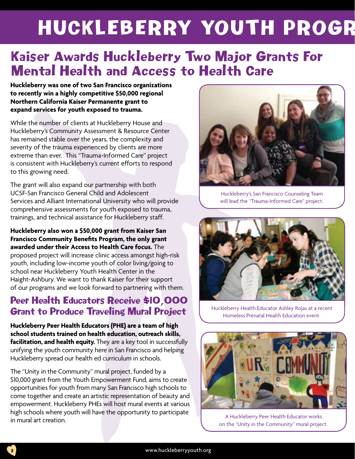# HUCKLEBERRY YOUTH PROGR

## Kaiser Awards Huckleberry Two Major Grants For Mental Health and Access to Health Care

**Huckleberry was one of two San Francisco organizations to recently win a highly competitive \$50,000 regional Northern California Kaiser Permanente grant to expand services for youth exposed to trauma.** 

While the number of clients at Huckleberry House and Huckleberry's Community Assessment & Resource Center has remained stable over the years, the complexity and severity of the trauma experienced by clients are more extreme than ever. This "Trauma-Informed Care" project is consistent with Huckleberry's current efforts to respond to this growing need.

The grant will also expand our partnership with both UCSF-San Francisco General Child and Adolescent Services and Alliant International University who will provide comprehensive assessments for youth exposed to trauma, trainings, and technical assistance for Huckleberry staff.

**Huckleberry also won a \$50,000 grant from Kaiser San Francisco Community Benefits Program, the only grant awarded under their Access to Health Care focus.** The proposed project will increase clinic access amongst high-risk youth, including low-income youth of color living/going to school near Huckleberry Youth Health Center in the Haight-Ashbury. We want to thank Kaiser for their support of our programs and we look forward to partnering with them.

### Peer Health Educators Receive \$10,000 Grant to Produce Traveling Mural Project

**Huckleberry Peer Health Educators (PHE) are a team of high school students trained on health education, outreach skills, facilitation, and health equity.** They are a key tool in successfully unifying the youth community here in San Francisco and helping Huckleberry spread our health ed curriculum in schools.

The "Unity in the Community" mural project, funded by a \$10,000 grant from the Youth Empowerment Fund, aims to create opportunities for youth from many San Francisco high schools to come together and create an artistic representation of beauty and empowerment. Huckleberry PHEs will host mural events at various high schools where youth will have the opportunity to participate in mural art creation.



Huckleberry's San Francisco Counseling Team will lead the "Trauma-Informed Care" project.



Huckleberry Health Educator Ashley Rojas at a recent Homeless Prenatal Health Education event.



A Huckleberry Peer Health Educator works on the "Unity in the Community" mural project.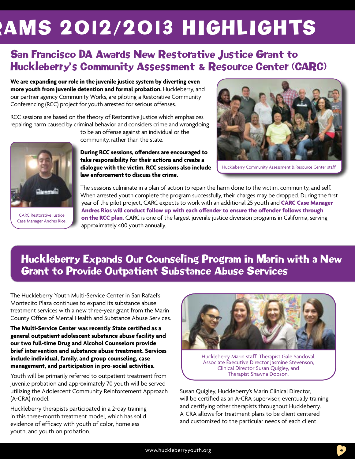# AMS 2012/2013 HIGHLIGHTS

## San Francisco DA Awards New Restorative Justice Grant to Huckleberry's Community Assessment & Resource Center (CARC)

**We are expanding our role in the juvenile justice system by diverting even more youth from juvenile detention and formal probation.** Huckleberry, and our partner agency Community Works, are piloting a Restorative Community Conferencing (RCC) project for youth arrested for serious offenses.

RCC sessions are based on the theory of Restorative Justice which emphasizes repairing harm caused by criminal behavior and considers crime and wrongdoing

to be an offense against an individual or the

community, rather than the state.

**During RCC sessions, offenders are encouraged to take responsibility for their actions and create a dialogue with the victim. RCC sessions also include law enforcement to discuss the crime.** 



Huckleberry Community Assessment & Resource Center staff



CARC Restorative Justice Case Manager Andres Rios.

The sessions culminate in a plan of action to repair the harm done to the victim, community, and self. When arrested youth complete the program successfully, their charges may be dropped. During the first year of the pilot project, CARC expects to work with an additional 25 youth and **CARC Case Manager Andres Rios will conduct follow up with each offender to ensure the offender follows through on the RCC plan.** CARC is one of the largest juvenile justice diversion programs in California, serving approximately 400 youth annually.

## Huckleberry Expands Our Counseling Program in Marin with a New Grant to Provide Outpatient Substance Abuse Services

The Huckleberry Youth Multi-Service Center in San Rafael's Montecito Plaza continues to expand its substance abuse treatment services with a new three-year grant from the Marin County Office of Mental Health and Substance Abuse Services.

**The Multi-Service Center was recently State certified as a general outpatient adolescent substance abuse facility and our two full-time Drug and Alcohol Counselors provide brief intervention and substance abuse treatment. Services include individual, family, and group counseling, case management, and participation in pro-social activities.** 

Youth will be primarily referred to outpatient treatment from juvenile probation and approximately 70 youth will be served utilizing the Adolescent Community Reinforcement Approach (A-CRA) model.

Huckleberry therapists participated in a 2-day training in this three-month treatment model, which has solid evidence of efficacy with youth of color, homeless youth, and youth on probation.



Huckleberry Marin staff: Therapist Gale Sandoval, Associate Executive Director Jasmine Stevenson, Clinical Director Susan Quigley, and Therapist Shawna Dobson.

Susan Quigley, Huckleberry's Marin Clinical Director, will be certified as an A-CRA supervisor, eventually training and certifying other therapists throughout Huckleberry. A-CRA allows for treatment plans to be client centered and customized to the particular needs of each client.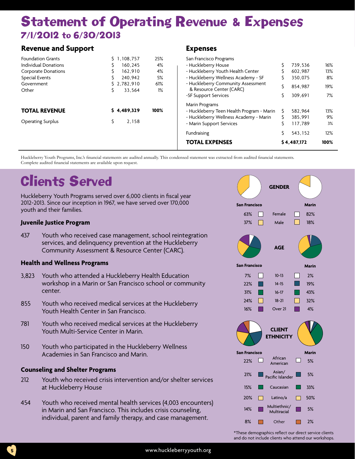## **Statement of Operating Revenue & Expenses** 7/1/2012 to 6/30/2013

#### **Revenue and Support**

| <b>Foundation Grants</b>    | \$1,108,757 | 25%  | San Francisco Programs                    |   |             |      |
|-----------------------------|-------------|------|-------------------------------------------|---|-------------|------|
| <b>Individual Donations</b> | 160.245     | 4%   | - Huckleberry House                       |   | 739,536     | 16%  |
| <b>Corporate Donations</b>  | 162.910     | 4%   | - Huckleberry Youth Health Center         |   | 602.987     | 13%  |
| Special Events              | 240.942     | 5%   | - Huckleberry Wellness Academy - SF       | S | 350.075     | 8%   |
| Government                  | \$2.782.910 | 61%  | - Huckleberry Community Assessment        |   | 854.987     | 19%  |
| Other                       | 33.564      | 1%   | & Resource Center (CARC)                  |   |             |      |
|                             |             |      | -SF Support Services                      |   | 309.691     | 7%   |
|                             |             |      | Marin Programs                            |   |             |      |
| <b>TOTAL REVENUE</b>        | 54,489,329  | 100% | - Huckleberry Teen Health Program - Marin |   | 582.964     | 13%  |
|                             |             |      | - Huckleberry Wellness Academy - Marin    |   | 385.991     | 9%   |
| <b>Operating Surplus</b>    | 2.158       |      | - Marin Support Services                  |   | 117.789     | 3%   |
|                             |             |      | Fundraising                               |   | 543.152     | 12%  |
|                             |             |      | <b>TOTAL EXPENSES</b>                     |   | \$4,487,172 | 100% |
|                             |             |      |                                           |   |             |      |

**Expenses**

Huckleberry Youth Programs, Inc.'s financial statements are audited annually. This condensed statement was extracted from audited financial statements. Complete audited financial statements are available upon request.

## Clients Served

Huckleberry Youth Programs served over 6,000 clients in fiscal year 2012-2013. Since our inception in 1967, we have served over 170,000 youth and their families.

#### **Juvenile Justice Program**

437 Youth who received case management, school reintegration services, and delinquency prevention at the Huckleberry Community Assessment & Resource Center (CARC).

#### **Health and Wellness Programs**

- 3,823 Youth who attended a Huckleberry Health Education workshop in a Marin or San Francisco school or community center.
- 855 Youth who received medical services at the Huckleberry Youth Health Center in San Francisco.
- 781 Youth who received medical services at the Huckleberry Youth Multi-Service Center in Marin.
- 150 Youth who participated in the Huckleberry Wellness Academies in San Francisco and Marin.

#### **Counseling and Shelter Programs**

- 212 Youth who received crisis intervention and/or shelter services at Huckleberry House
- 454 Youth who received mental health services (4,003 encounters) in Marin and San Francisco. This includes crisis counseling, individual, parent and family therapy, and case management.



\*These demographics reflect our direct service clients and do not include clients who attend our workshops.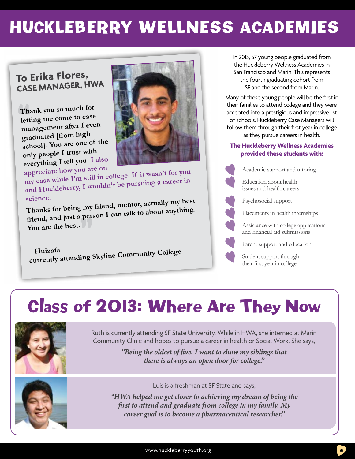## Huckleberry Wellness AcademIES

### **To Erika Flores, Case Manager, HWA**

"**Thank you so much for management after I even letting me come to case graduated [from high school]. You are one o<sup>f</sup> the only people I trust with everything I tell you. I also** 



appreciate how you are on<br>my case while I'm still in college. If it wasn't for you **and Huckleberry, I wouldn't be pursuing a career in** 

" **science. Thanks for being my friend, mentor, actually my best friend, and just a person I can talk to about anything. You are the best.** 

**– Huizafa currently attending Skyline Community College**

In 2013, 57 young people graduated from the Huckleberry Wellness Academies in San Francisco and Marin. This represents the fourth graduating cohort from SF and the second from Marin.

Many of these young people will be the first in their families to attend college and they were accepted into a prestigious and impressive list of schools. Huckleberry Case Managers will follow them through their first year in college as they pursue careers in health.

#### **The Huckleberry Wellness Academies provided these students with:**

Academic support and tutoring

Education about health issues and health careers

Psychosocial support

Placements in health internships

Assistance with college applications and financial aid submissions

Parent support and education

Student support through their first year in college

## Class of 2013: Where Are They Now



Ruth is currently attending SF State University. While in HWA, she interned at Marin Community Clinic and hopes to pursue a career in health or Social Work. She says,

> *"Being the oldest of five, I want to show my siblings that there is always an open door for college."*



Luis is a freshman at SF State and says,

*"HWA helped me get closer to achieving my dream of being the first to attend and graduate from college in my family. My career goal is to become a pharmaceutical researcher."*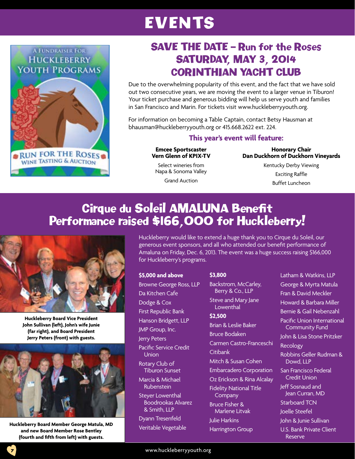## EVENTS



## SAVE THE DATE – Run for the Roses SATURDAY, MAY 3, 2014 CORINTHIAN YACHT CLUB

Due to the overwhelming popularity of this event, and the fact that we have sold out two consecutive years, we are moving the event to a larger venue in Tiburon! Your ticket purchase and generous bidding will help us serve youth and families in San Francisco and Marin. For tickets visit www.huckleberryyouth.org.

For information on becoming a Table Captain, contact Betsy Hausman at bhausman@huckleberryyouth.org or 415.668.2622 ext. 224.

#### **This year's event will feature:**

#### **Emcee Sportscaster Vern Glenn of KPIX-TV**

Select wineries from Napa & Sonoma Valley

Grand Auction

**Honorary Chair Dan Duckhorn of Duckhorn Vineyards** Kentucky Derby Viewing

Exciting Raffle Buffet Luncheon

## Cirque du Soleil AMALUNA Benefit Performance raised \$166,000 for Huckleberry!



**Huckleberry Board Vice President John Sullivan (left), John's wife Junie (far right), and Board President Jerry Peters (front) with guests.**



**Huckleberry Board Member George Matula, MD and new Board Member Rose Bentley (fourth and fifth from left) with guests.** 

7

Huckleberry would like to extend a huge thank you to Cirque du Soleil, our generous event sponsors, and all who attended our benefit performance of Amaluna on Friday, Dec. 6, 2013. The event was a huge success raising \$166,000 for Huckleberry's programs.

#### **\$5,000 and above**

Browne George Ross, LLP Da Kitchen Cafe Dodge & Cox First Republic Bank Hanson Bridgett, LLP JMP Group, Inc. Jerry Peters Pacific Service Credit Union Rotary Club of Tiburon Sunset Marcia & Michael Rubenstein Steyer Lowenthal Boodrookas Alvarez & Smith, LLP Dyann Tresenfeld

Veritable Vegetable

#### **\$3,800**

Backstrom, McCarley, Berry & Co., LLP Steve and Mary Jane Lowenthal

#### **\$2,500**

Brian & Leslie Baker Bruce Bodaken Carmen Castro-Franceschi Citibank Mitch & Susan Cohen Embarcadero Corporation Oz Erickson & Rina Alcalay Fidelity National Title **Company** Bruce Fisher & Marlene Litvak Julie Harkins

Harrington Group

Latham & Watkins, LLP George & Myrta Matula Fran & David Meckler Howard & Barbara Miller Bernie & Gail Nebenzahl Pacific Union International Community Fund John & Lisa Stone Pritzker Recology Robbins Geller Rudman & Dowd, LLP San Francisco Federal Credit Union Jeff Sosnaud and Jean Curran, MD Starboard TCN Joelle Steefel John & Junie Sullivan U.S. Bank Private Client

Reserve

www.huckleberryyouth.org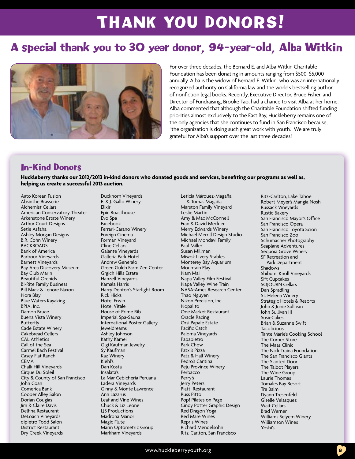## THANK YOU DONORS!

## A special thank you to 30 year donor, 94-year-old, Alba Witkin



For over three decades, the Bernard E. and Alba Witkin Charitable Foundation has been donating in amounts ranging from \$500-\$5,000 annually. Alba is the widow of Bernard E. Witkin who was an internationally recognized authority on California law and the world's bestselling author of nonfiction legal books. Recently, Executive Director, Bruce Fisher, and Director of Fundraising, Brooke Tao, had a chance to visit Alba at her home. Alba commented that although the Charitable Foundation shifted funding priorities almost exclusively to the East Bay, Huckleberry remains one of the only agencies that she continues to fund in San Francisco because, "the organization is doing such great work with youth." We are truly grateful for Alba's support over the last three decades!

### In-Kind Donors

**Huckleberry thanks our 2012/2013 in-kind donors who donated goods and services, benefiting our programs as well as, helping us create a successful 2013 auction.**

Aato Korean Fusion Absinthe Brasserie Alchemist Cellars American Conservatory Theater Arkenstone Estate Winery Arthur Court Designs Setie Asfaha Ashley Morgan Designs B.R. Cohn Winery **BACKROADS** Bank of America Barbour Vineyards Barnett Vineyards Bay Area Discovery Museum Bay Club Marin Beautiful Orchids Bi-Rite Family Business Bill Black & Lenore Naxon Nora Blay Blue Waters Kayaking BPIA, Inc. Damon Bruce Buena Vista Winery Butterfly Cade Estate Winery Cakebread Cellers CAL Athletics Call of the Sea Carmel Bach Festival Casey Flat Ranch **CEMA** Chalk Hill Vineyards Cirque Du Soleil City & County of San Francisco John Coan Comerica Bank Cooper Alley Salon Dorian Cougias Jim & Claire Davis Delfina Restaurant DeLoach Vineyards dipietro Todd Salon District Restaurant Dry Creek Vineyards

Duckhorn Vineyards E. & J. Gallo Winery Elixir Epic Roasthouse Evo Spa Facebook Ferrari-Carano Winery Foreign Cinema Forman Vineyard Cline Cellars Galante Vineyards Galleria Park Hotel Andrew Generalo Green Gulch Farm Zen Center Grgich Hills Estate Hanzell Vineyards Kamala Harris Harry Denton's Starlight Room Rick Hicks Hotel Erwin Hotel Vitale House of Prime Rib Imperial Spa-Sauna International Poster Gallery Jeweldreams Ashley Johnson Kathy Kamei Gigi Kaufman Jewelry Sy Kaufman Kaz Winery Kiehl's Dan Kosta Insalata's La Mar Cebicheria Peruana Ladera Vineyards Ginny & Monte Lawrence Ann Lazarus Leaf and Vine Wines Chuck & Liz Leone LJS Productions Madrona Manor Magic Flute Marin Optometric Group

Markham Vineyards

Leticia Márquez-Magaña & Tomas Magaña Marston Family Vineyard Leslie Martin Amy & Mac McConnell Fran & David Meckler Merry Edwards Winery Michael Merrill Design Studio Michael Mondavi Family Paul Miller Susan Millman Miwok Livery Stables Monterey Bay Aquarium Mountain Play Nam Mai Napa Valley Film Festival Napa Valley Wine Train NASA-Ames Research Center Thao Nguyen Nikon Precision, Inc. Nopalito One Market Restaurant Oracle Racing Orsi Papale Estate Pacific Catch Paloma Vineyards Papapietro Park Chow Patxi's Pizza Patz & Hall Winery Pedro's Cantina Peju Province Winery Perbacco Perry's Jerry Peters Piatti Restaurant Russ Pitto Pop! Pilates on Page Cindy Potter Graphic Design Red Dragon Yoga Red Mare Wines Repris Wines Richard Mendelsohn Ritz-Carlton, San Francisco

Ritz-Carlton, Lake Tahoe Robert Meyer's Mangia Nosh Russack Vineyards Rustic Bakery San Francisco Mayor's Office San Francisco Opera San Francisco Toyota Scion San Francisco Zoo Schumacher Photography Seaplane Adventures Sequoia Grove Winery SF Recreation and Park Department Shadows Shibumi Knoll Vineyards Sift Cupcakes SOJOURN Cellars Dan Spradling St. Helena Winery Strategic Hotels & Resorts John & Junie Sullivan John Sullivan III SusieCakes Brian & Suzanne Swift **Tacolicious** Tante Marie's Cooking School The Corner Store The Maas Clinic The Nick Traina Foundation The San Francisco Giants The Slanted Door The Talbot Players The Wine Group Laurie Thomas Tomales Bay Resort Tre Balm Dyann Tresenfeld Giselle Velasquez Wait Cellars Brad Werner Williams Selyem Winery Williamson Wines Yoshi's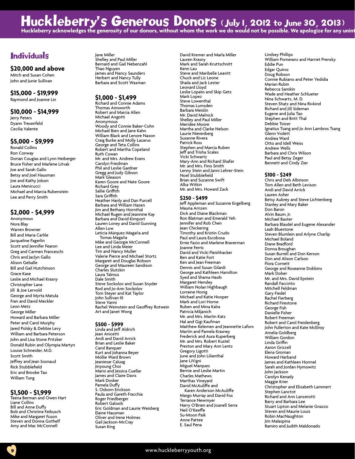## Huckleberry's Generous Donors (July 1, 2012 to June 30, 2013)

Huckleberry acknowledges the generosity of our donors, without whom the work we do would not be possible. We apologize for any unint

#### **Individuals**

#### **\$20,000 and above**

Mitch and Susan Cohen John and Junie Sullivan

#### **\$15,000 - \$19,999**

Raymond and Joanne Lin

#### **\$10,000 - \$14,999**

Jerry Peters Dyann Tresenfeld Cecilia Valente

#### **\$5,000 - \$9,999**

Ronald Collins Ron Conway Dorian Cougias and Lynn Heiberger Bruce Fisher and Marlene Litvak Joe and Sarah Gallo Betsy and Joel Hausman Joe and Kathy Jolson Laura Menicucci Michael and Marcia Rubenstein Lee and Perry Smith

#### **\$2,000 - \$4,999**

Anonymous Nora Blay Warren Browner Bill and Maria Carlile Jacqueline Fagerlin Scott and Jennifer Fearon Greg and Carmen Franceschi Chris and Jaclyn Gallo Alison Geballe Bill and Gail Hutchinson Grace Kase Leslie and Michael Krasny Christopher Lane Jill & Joe Lervold George and Myrta Matula Fran and David Meckler Leon Metz George Miller Howard and Barbara Miller Peter and Carol Murphy Jared Polsky & Debbie Levy William and Barbara Peterson John and Lisa Stone Pritzker Donald Rubin and Olympia Martyn Louise Schneider, M.D. Scott Smith Jeffrey and Jean Sosnaud Rick Stubblefield Eric and Brooke Tao William Tung

#### **\$1,500 - \$1,999**

Teena Berman and Owen Hart Liane Collins Bill and Anne Duffy Bob and Christine Feibusch Mike and Margaret Fuson Steven and Donna Gothelf Amy and Mac McConnell

Jane Miller Shelley and Paul Miller Bernard and Gail Nebenzahl Thao Nguyen James and Nancy Saunders Herbert and Nancy Tully Barbara and Scott Waxman

#### **\$1,000 - \$1,499**

Richard and Connie Adams Thomas Ainsworth Robert and Marcia Allen Michael Angotti **Anonymous** Woody and Connie Baker-Cohn Michael Bien and Jane Kahn William Black and Lenore Naxon Craig Burke and Molly Lazarus George and Teta Collins Robert and Martha Copeland Ruth Cowan Mr. and Mrs. Andrew Evans Carolyn Friedman Phil and Leslie Gardner Gregg and Judy Gibson Mark Gleason Karen Goore and Nate Goore Richard Grey Sallie Griffith Sara Griffith Heather Hanly and Dan Purcell Barbara and William Hazen Jim and Bethany Hornthal Michael Rugen and Jeannine Kay Barbara and David Kimport Lauren Loney and David Gunning Allen Low Leticia Márquez-Magaña and Tomas Magaña Mike and Georgie McConnell Lee and Linda Meier Tim and Nancy Muller Valerie Pierce and Michael Stortz Margaret and Douglas Robson George and Maureen Sandison Charles Slutzkin Laura Talmus Dale Smith Steve Sockolov and Susan Snyder Rod and Jo-Ann Sockolov Tom Steyer and Kat Taylor John Sullivan III Steve Vanni Rachel Weinstein and Geoffrey Rotwein Art and Janet Wong

#### **\$500 - \$999**

Linda and Jeff Aldrich Jean Anicetti Andi and David Arrick Brian and Leslie Baker Carol Banquer Kurt and Johanna Beyer Mollie Ward Brown Jeaniesar Caluag Jinyoung Choi Mario and Jessica Cuellar James and Claire Davis Mark Dosker Pamela Duffy S. Osborn Erickson Paula and Gareth Fracchia Roger Friedberger Robert Galoob Eric Goldman and Laurie Weisberg Elaine Hausman Oliver and Irene Holmes Gail Jackson-McCray Susan King

David Kremer and Marla Miller Lauren Krasny Mark and Sarah Kruttschnitt Kenn Lau Steve and Maribelle Leavitt Chuck and Liz Leone Shaila and Jack Lester Leonard Lloyd Leslie Lopato and Skip Getz Mark Lopez Steve Lowenthal Thomas Lumsden Barbara Meislin Mr. David Melnick Shelley and Paul Miller Meridee Moore Martha and Clarke Nelson Laurie Nierenberg Susanne Rivera Patrick Ross Stephen and Marcia Ruben Jeff and Trisha Scales Vicki Schwartz Mary-Ann and Richard Shafer Mr. and Mrs. Finis Smith Lenny Stein and Janni Lehrer-Stein Noel Stubblefield Brian and Suzanne Swift Alba Witkin Mr. and Mrs. Howard Zack

#### **\$250 - \$499**

Jeff Appleman and Suzanne Engelberg Mauna Arnzen Dick and Diane Blackman Ron Blatman and Emerald Yeh Jennifer and Rob Chen Jean Chickering Timothy and Kristin Crudo Paul and Laura Escobosa Ernie Fazio and Marlene Braverman Joanne Ferris David and Vicki Fleishhacker Ben and Katie Fort Ken and Jean Freeman Dennis and Susan Gilardi George and Kathleen Hamilton Syed and Shama Hasib Margaret Hensley William Nolan Highbaugh Lorraine Honig Michael and Katie Hooper Mark and Lori Horne Ruben and Mina Kalra Patricia Miljanich Mr. and Mrs. Martin Katz Hal and Gigi Kaufman Matthew Kelemen and Jeannette Lafors Martin and Pamela Krasney Frederick and Aura Kuperberg Mr. and Mrs. Robert Kustel Preston and Mary Ann Lentz Gregory Ligotti June and John Lilienthal Jane LiVigni Miguel Marquez Bernie and Leslie Martin Charles Mathews Marthas Vineyard David McAuliffe and Karen Anderson McAuliffe Margo Murray and David Fox Terrance Newmyer Harry O'Brien and Joanell Serra Neil O'Keeffe Su-Moon Paik Anne Pattee E. Saul Pena

Lindsey Phillips William Pomeranz and Harriet Prensky Eddie Pun Edgar Quiroz Doug Robson Connie Rubiano and Peter Yedidia Marian Rubin Rebecca Sarokin Wade and Heather Schlueter Nina Schwartz, M. D. Steven Shatz and Nina Rivkind Richard and Jill Sideman Eugene and Julia Tao Stephen and Britt Thal Debbie Toizer Ignatius Tsang and Jo Ann Lambros Tsang Glenn Violett Andrea Ward Otto and Idell Weiss Andrew Wells Barbara and Chris Wilson Paul and Betsy Zeger Bennett and Cindy Zier

#### **\$100 - \$249**

Chris and Deb Albinson Tom Allen and Beth Levison Andi and David Arrick Lauren Asher Betsy Aubrey and Steve Lichtenberg Stanley and Mary Baker Don Baron Alvin Baum, Jr. Michael Baxter Barbara Blasdel and Eugene Alexander Leah Bluestone Steven Blumlein and Arlyne Charlip Michael Boland Diane Bradford Donna Broughan Susan Burrell and Don Kerson Don and Alison Carlson Flora Cornett George and Roseanne Dobbins Mark Dober Mr. and Mrs. David Epstein Randall Faccinto Mitchell Feldman Gary Fiedel Rachel Fierberg Richard Firestone George Fish Danielle Fisher Robert Freeman Robert and Carol Freidenberg John Fullerton and Kate McElroy Amelia Goldberg William Gordon Linda Griffin Aaron Grizzell Elena Groman Howard Harband James and Kathleen Hormel Sarah and Jordan Hymowitz John Jackson Carolyn Kenady Maggie Krier Christopher and Elizabeth Lammert Stephen Lanctot Richard and Ann Lanzerotti Barry and Barbara Lee Stuart Lipton and Melanie Gnazzo Steven and Maurie Louis Robin MacNaughton Jim Malaspina Ramiro and Judith Maldonado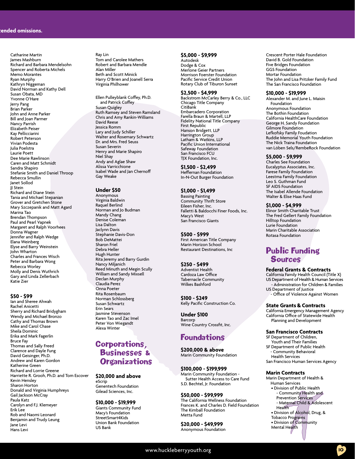Catharine Martin James Mashburn Richard and Barbara Mendelsohn Spencer and Roberta Michels Memo Morantes Ryan Murphy Kathryn Niggeman David Norman and Kathy Dell Susan Obata, MD Yvonne O'Hare Jerry Pang Brian Parker John and Anne Parker Bill and Joan Parmer Nancy Parrish Elizabeth Peiser Kay Pellicciarini Robert Peterson Vivian Podesta Julia Poelstra Laurie Poett Dee Marie Rawlinson Caren and Matt Schmidt Sandra Shapiro Stefanie Smith and Daniel Throop Rebecca Smullin Janet Sollod JJ Stein Richard and Diane Stein Tania and Michael Stepanian Grover and Gretchen Stone Mary Szczepanik and Matt Agard Marina Tao Brendan Thompson Paul and Pearl Vapnek Margaret and Ralph Voorhees Donna Wagner Jennifer and Ralph Wedge Elana Weinberg Elyse and Barry Weinstein John Wharton Charles and Frances Wisch Peter and Barbara Wong Rebecca Worley Molly and Denis Wuthrich Gary and Linda Zellerbach Katie Zier

#### **\$50 - \$99**

Ian and Sheree Ahwah Rachel Anicetti Sherry and Richard Bridygham Wendy and Michael Bronzo Cathy and Thomas Brown Mike and Carol Chase Sheila Dominic Erika and Mark Fagerlin Bruce Fay Thomas and Sally Freed Clarence and Dayle Fung David Geisinger, Ph.D. Andrew and Karen Gordon Katherine Green Richard and Lorrie Greene Harriette R. Grooh, Ph.D. and Tom Escover Kevin Hensley Sharon Horton Donald and Virginia Humphreys Gail Jackson McCray Paula Katz Carolyn and F.J. Klemeyer Erik Lee Rob and Naomi Leonard Benjamin and Trudy Leung Jane Levi Hans Levi

Ray Lin Tom and Carolee Mathers Robert and Barbara Mendle Alan Miller Beth and Scott Minick Harry O'Brien and Joanell Serra Virginia Philhower

Ellen Pulleyblank Coffey, Ph.D. and Patrick Coffey Susan Quigley Ruth Ramsey and Steven Ramsland Chris and Amy Rankin-Williams David Reese Jessica Romm Lary and Judy Schiller Walter and Rosemary Schwartz Dr. and Mrs. Fred Seuss Susan Severin Henry and Marie Shapiro Niel Shay Andy and Aglae Shaw Alissa Varricchione Isabel Wade and Jan Chernoff Gay Weake

#### **Under \$50**

Anonymous Virginia Baldwin Raquel Berlind Norman and Jo Budman Mandy Chang Denise Coleman Lisa Dalton Jaclynn Davis Stephanie Davis-Don Bob DeMattei Sharon Friel Debra Heller Hugh Hunter Rita Jeremy and Barry Gurdin Nancy Miljanich Reed Minuth and Megin Scully William and Sandy Mixsell Declan Murphy Claudia Perez Onna Poeter Rita Rosenbaum Norman Schlossberg Susan Schwartz Erin Sears Jasmine Stevenson Karen Tao and Zac Imel Peter Von Wiegandt Alexa Winter

#### Corporations, Businesses & **Organizations**

#### **\$20,000 and above** eScrip

Genentech Foundation Gilead Sciences, Inc.

#### **\$10,000 - \$19,999**

Giants Community Fund Macy's Foundation StreetSmart4Kids Union Bank Foundation US Bank

#### **\$5,000 - \$9,999**

Autodesk Dodge & Cox Merlone Geier Partners Morrison Foerster Foundation Pacific Service Credit Union Rotary Club of Tiburon Sunset

#### **\$2,500 - \$4,999**

Backstrom McCarley Berry & Co., LLC Chicago Title Company **CitiBank** Embarcadero Corporation Farella Braun & Martell, LLP Fidelity National Title Company First Republic Hanson Bridgett, LLP Harrington Group Latham & Watkins, LLP Pacific Union International Safeway Foundation San Francisco FCU TJX Foundation, Inc.

**\$1,500 - \$2,499** Heffernan Foundation In-N-Out Burger Foundation

#### **\$1,000 - \$1,499**

Bassing Painting Community Thrift Store Eileen Fisher, Inc. Falletti & Baldocchi Finer Foods, Inc. Macy's West San Francisco Giants

**\$500 - \$999** First American Title Company Marin Horizon School Restaurant Destinations, Inc

**\$250 - \$499** Adventist Health Cardoza Law Office Tabernacle Community Wilkes Bashford

**\$100 - \$249** Kelly Pacific Construction Co.

**Under \$100** Barcorp Wine Country Crossfit, Inc.

#### Foundations

**\$200,000 & above** Marin Community Foundation

**\$100,000 - \$199,999** Marin Community Foundation - Sutter Health Access to Care Fund S.D. Bechtel, Jr. Foundation

**\$50,000 - \$99,999** The California Wellness Foundation Frances K. and Charles D. Field Foundation The Kimball Foundation Metta Fund

**\$20,000 - \$49,999** Anonymous Foundation Crescent Porter Hale Foundation David B. Gold Foundation Five Bridges Foundation GGS Foundation Mortar Foundation The John and Lisa Pritzker Family Fund The San Francisco Foundation

#### **\$10,000 - \$19,999**

Alexander M. and June L. Maisin Foundation Anonymous Foundation The Bothin Foundation California HealthCare Foundation George H. Sandy Foundation Gilmore Foundation Lefkofsky Family Foudation Ruddie Memorial Youth Foundation The Nick Traina Foundation van Löben Sels/RembeRock Foundation

#### **\$5,000 - \$9,999**

Charles See Foundation Eucalyptus Associates, Inc. Farese Family Foundation Leestma Family Foundation Leo S. Guthman Fund SF AIDS Foundation The Isabel Allende Foundation Walter & Elise Haas Fund

**\$1,000 - \$4,999**

Elinor Smith Charitable Trust The Fred Gellert Family Foundation Hilltop Foundation Lurie Foundation Marin Charitable Association Rotasa Foundation

#### Public Funding **Sources**

#### **Federal Grants & Contracts**

California Family Health Council (Title X) US Department of Health & Human Services - Administration for Children & Families US Department of Justice - Office of Violence Against Women

#### **State Grants & Contracts**

California Emergency Management Agency California Office of Statewide Health Planning and Development

#### **San Francisco Contracts**

SF Department of Children, Youth and Their Families SF Department of Public Health Community Behavioral Health Services San Francisco Human Services Agency

#### **Marin Contracts**

Marin Department of Health & Human Services • Division of Public Health - Community Health and Prevention Services - Maternal Child & Adolescent Health

- Division of Alcohol, Drug, &
- Tobacco Programs • Division of Community
- Mental Health
-